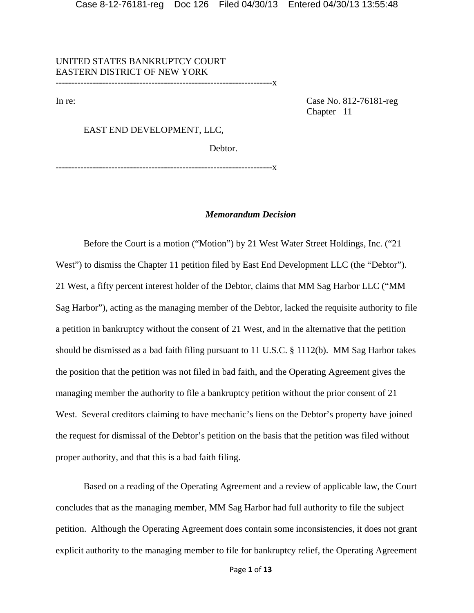UNITED STATES BANKRUPTCY COURT EASTERN DISTRICT OF NEW YORK ----------------------------------------------------------------------x

In re: Case No. 812-76181-reg Chapter 11

## EAST END DEVELOPMENT, LLC,

Debtor.

----------------------------------------------------------------------x

# *Memorandum Decision*

 Before the Court is a motion ("Motion") by 21 West Water Street Holdings, Inc. ("21 West") to dismiss the Chapter 11 petition filed by East End Development LLC (the "Debtor"). 21 West, a fifty percent interest holder of the Debtor, claims that MM Sag Harbor LLC ("MM Sag Harbor"), acting as the managing member of the Debtor, lacked the requisite authority to file a petition in bankruptcy without the consent of 21 West, and in the alternative that the petition should be dismissed as a bad faith filing pursuant to 11 U.S.C. § 1112(b). MM Sag Harbor takes the position that the petition was not filed in bad faith, and the Operating Agreement gives the managing member the authority to file a bankruptcy petition without the prior consent of 21 West. Several creditors claiming to have mechanic's liens on the Debtor's property have joined the request for dismissal of the Debtor's petition on the basis that the petition was filed without proper authority, and that this is a bad faith filing.

Based on a reading of the Operating Agreement and a review of applicable law, the Court concludes that as the managing member, MM Sag Harbor had full authority to file the subject petition. Although the Operating Agreement does contain some inconsistencies, it does not grant explicit authority to the managing member to file for bankruptcy relief, the Operating Agreement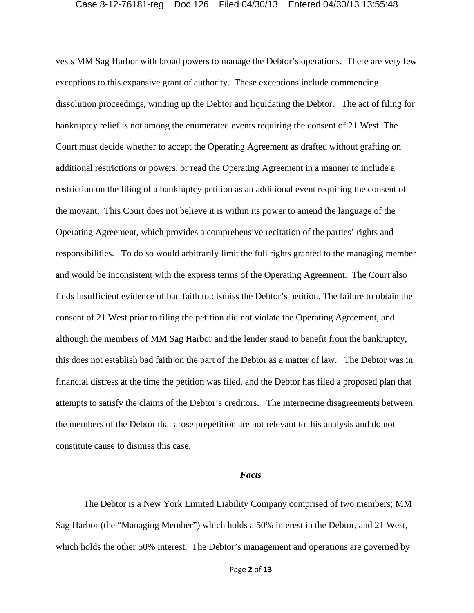vests MM Sag Harbor with broad powers to manage the Debtor's operations. There are very few exceptions to this expansive grant of authority. These exceptions include commencing dissolution proceedings, winding up the Debtor and liquidating the Debtor. The act of filing for bankruptcy relief is not among the enumerated events requiring the consent of 21 West. The Court must decide whether to accept the Operating Agreement as drafted without grafting on additional restrictions or powers, or read the Operating Agreement in a manner to include a restriction on the filing of a bankruptcy petition as an additional event requiring the consent of the movant. This Court does not believe it is within its power to amend the language of the Operating Agreement, which provides a comprehensive recitation of the parties' rights and responsibilities. To do so would arbitrarily limit the full rights granted to the managing member and would be inconsistent with the express terms of the Operating Agreement. The Court also finds insufficient evidence of bad faith to dismiss the Debtor's petition. The failure to obtain the consent of 21 West prior to filing the petition did not violate the Operating Agreement, and although the members of MM Sag Harbor and the lender stand to benefit from the bankruptcy, this does not establish bad faith on the part of the Debtor as a matter of law. The Debtor was in financial distress at the time the petition was filed, and the Debtor has filed a proposed plan that attempts to satisfy the claims of the Debtor's creditors. The internecine disagreements between the members of the Debtor that arose prepetition are not relevant to this analysis and do not constitute cause to dismiss this case.

# *Facts*

The Debtor is a New York Limited Liability Company comprised of two members; MM Sag Harbor (the "Managing Member") which holds a 50% interest in the Debtor, and 21 West, which holds the other 50% interest. The Debtor's management and operations are governed by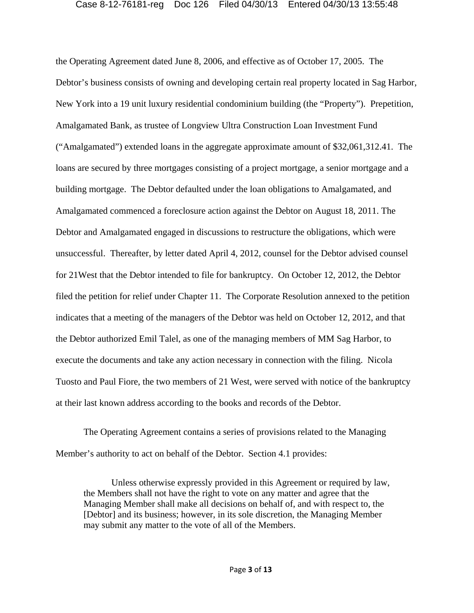the Operating Agreement dated June 8, 2006, and effective as of October 17, 2005. The Debtor's business consists of owning and developing certain real property located in Sag Harbor, New York into a 19 unit luxury residential condominium building (the "Property"). Prepetition, Amalgamated Bank, as trustee of Longview Ultra Construction Loan Investment Fund ("Amalgamated") extended loans in the aggregate approximate amount of \$32,061,312.41. The loans are secured by three mortgages consisting of a project mortgage, a senior mortgage and a building mortgage. The Debtor defaulted under the loan obligations to Amalgamated, and Amalgamated commenced a foreclosure action against the Debtor on August 18, 2011. The Debtor and Amalgamated engaged in discussions to restructure the obligations, which were unsuccessful. Thereafter, by letter dated April 4, 2012, counsel for the Debtor advised counsel for 21West that the Debtor intended to file for bankruptcy. On October 12, 2012, the Debtor filed the petition for relief under Chapter 11. The Corporate Resolution annexed to the petition indicates that a meeting of the managers of the Debtor was held on October 12, 2012, and that the Debtor authorized Emil Talel, as one of the managing members of MM Sag Harbor, to execute the documents and take any action necessary in connection with the filing. Nicola Tuosto and Paul Fiore, the two members of 21 West, were served with notice of the bankruptcy at their last known address according to the books and records of the Debtor.

The Operating Agreement contains a series of provisions related to the Managing Member's authority to act on behalf of the Debtor. Section 4.1 provides:

Unless otherwise expressly provided in this Agreement or required by law, the Members shall not have the right to vote on any matter and agree that the Managing Member shall make all decisions on behalf of, and with respect to, the [Debtor] and its business; however, in its sole discretion, the Managing Member may submit any matter to the vote of all of the Members.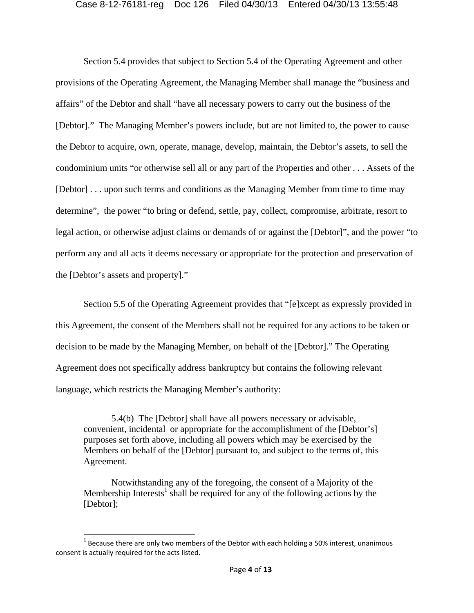Section 5.4 provides that subject to Section 5.4 of the Operating Agreement and other provisions of the Operating Agreement, the Managing Member shall manage the "business and affairs" of the Debtor and shall "have all necessary powers to carry out the business of the [Debtor]." The Managing Member's powers include, but are not limited to, the power to cause the Debtor to acquire, own, operate, manage, develop, maintain, the Debtor's assets, to sell the condominium units "or otherwise sell all or any part of the Properties and other . . . Assets of the [Debtor] . . . upon such terms and conditions as the Managing Member from time to time may determine", the power "to bring or defend, settle, pay, collect, compromise, arbitrate, resort to legal action, or otherwise adjust claims or demands of or against the [Debtor]", and the power "to perform any and all acts it deems necessary or appropriate for the protection and preservation of the [Debtor's assets and property]."

Section 5.5 of the Operating Agreement provides that "[e]xcept as expressly provided in this Agreement, the consent of the Members shall not be required for any actions to be taken or decision to be made by the Managing Member, on behalf of the [Debtor]." The Operating Agreement does not specifically address bankruptcy but contains the following relevant language, which restricts the Managing Member's authority:

5.4(b) The [Debtor] shall have all powers necessary or advisable, convenient, incidental or appropriate for the accomplishment of the [Debtor's] purposes set forth above, including all powers which may be exercised by the Members on behalf of the [Debtor] pursuant to, and subject to the terms of, this Agreement.

Notwithstanding any of the foregoing, the consent of a Majority of the Membership Interests<sup>1</sup> shall be required for any of the following actions by the [Debtor];

 $1$  Because there are only two members of the Debtor with each holding a 50% interest, unanimous consent is actually required for the acts listed.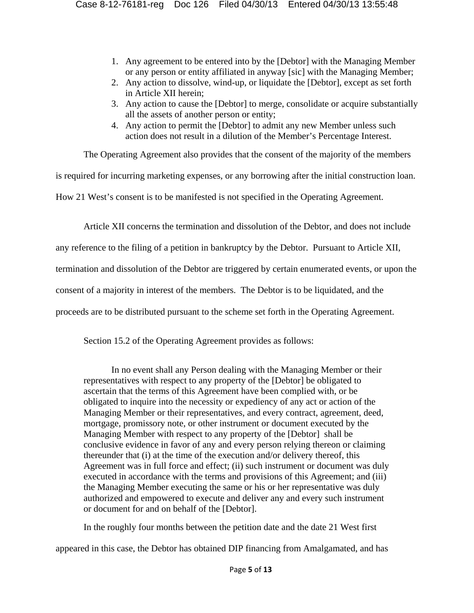- 1. Any agreement to be entered into by the [Debtor] with the Managing Member or any person or entity affiliated in anyway [sic] with the Managing Member;
- 2. Any action to dissolve, wind-up, or liquidate the [Debtor], except as set forth in Article XII herein;
- 3. Any action to cause the [Debtor] to merge, consolidate or acquire substantially all the assets of another person or entity;
- 4. Any action to permit the [Debtor] to admit any new Member unless such action does not result in a dilution of the Member's Percentage Interest.

The Operating Agreement also provides that the consent of the majority of the members

is required for incurring marketing expenses, or any borrowing after the initial construction loan.

How 21 West's consent is to be manifested is not specified in the Operating Agreement.

Article XII concerns the termination and dissolution of the Debtor, and does not include

any reference to the filing of a petition in bankruptcy by the Debtor. Pursuant to Article XII,

termination and dissolution of the Debtor are triggered by certain enumerated events, or upon the

consent of a majority in interest of the members. The Debtor is to be liquidated, and the

proceeds are to be distributed pursuant to the scheme set forth in the Operating Agreement.

Section 15.2 of the Operating Agreement provides as follows:

In no event shall any Person dealing with the Managing Member or their representatives with respect to any property of the [Debtor] be obligated to ascertain that the terms of this Agreement have been complied with, or be obligated to inquire into the necessity or expediency of any act or action of the Managing Member or their representatives, and every contract, agreement, deed, mortgage, promissory note, or other instrument or document executed by the Managing Member with respect to any property of the [Debtor] shall be conclusive evidence in favor of any and every person relying thereon or claiming thereunder that (i) at the time of the execution and/or delivery thereof, this Agreement was in full force and effect; (ii) such instrument or document was duly executed in accordance with the terms and provisions of this Agreement; and (iii) the Managing Member executing the same or his or her representative was duly authorized and empowered to execute and deliver any and every such instrument or document for and on behalf of the [Debtor].

In the roughly four months between the petition date and the date 21 West first

appeared in this case, the Debtor has obtained DIP financing from Amalgamated, and has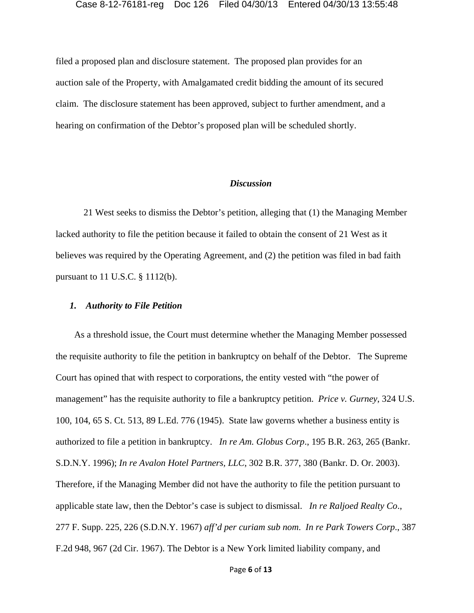filed a proposed plan and disclosure statement. The proposed plan provides for an auction sale of the Property, with Amalgamated credit bidding the amount of its secured claim. The disclosure statement has been approved, subject to further amendment, and a hearing on confirmation of the Debtor's proposed plan will be scheduled shortly.

# *Discussion*

21 West seeks to dismiss the Debtor's petition, alleging that (1) the Managing Member lacked authority to file the petition because it failed to obtain the consent of 21 West as it believes was required by the Operating Agreement, and (2) the petition was filed in bad faith pursuant to 11 U.S.C. § 1112(b).

# *1. Authority to File Petition*

 As a threshold issue, the Court must determine whether the Managing Member possessed the requisite authority to file the petition in bankruptcy on behalf of the Debtor. The Supreme Court has opined that with respect to corporations, the entity vested with "the power of management" has the requisite authority to file a bankruptcy petition. *Price v. Gurney*, 324 U.S. 100, 104, 65 S. Ct. 513, 89 L.Ed. 776 (1945). State law governs whether a business entity is authorized to file a petition in bankruptcy. *In re Am. Globus Corp*., 195 B.R. 263, 265 (Bankr. S.D.N.Y. 1996); *In re Avalon Hotel Partners, LLC*, 302 B.R. 377, 380 (Bankr. D. Or. 2003). Therefore, if the Managing Member did not have the authority to file the petition pursuant to applicable state law, then the Debtor's case is subject to dismissal. *In re Raljoed Realty Co*., 277 F. Supp. 225, 226 (S.D.N.Y. 1967) *aff'd per curiam sub nom*. *In re Park Towers Corp*., 387 F.2d 948, 967 (2d Cir. 1967). The Debtor is a New York limited liability company, and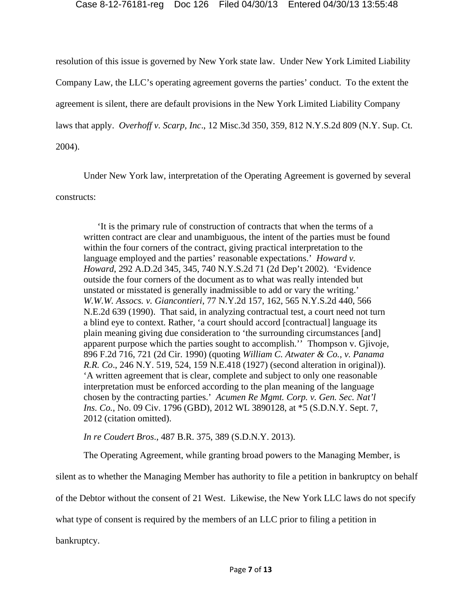resolution of this issue is governed by New York state law. Under New York Limited Liability Company Law, the LLC's operating agreement governs the parties' conduct. To the extent the agreement is silent, there are default provisions in the New York Limited Liability Company laws that apply. *Overhoff v. Scarp, Inc*., 12 Misc.3d 350, 359, 812 N.Y.S.2d 809 (N.Y. Sup. Ct. 2004).

 Under New York law, interpretation of the Operating Agreement is governed by several constructs:

'It is the primary rule of construction of contracts that when the terms of a written contract are clear and unambiguous, the intent of the parties must be found within the four corners of the contract, giving practical interpretation to the language employed and the parties' reasonable expectations.' *Howard v. Howard*, 292 A.D.2d 345, 345, 740 N.Y.S.2d 71 (2d Dep't 2002). 'Evidence outside the four corners of the document as to what was really intended but unstated or misstated is generally inadmissible to add or vary the writing.' *W.W.W. Assocs. v. Giancontieri*, 77 N.Y.2d 157, 162, 565 N.Y.S.2d 440, 566 N.E.2d 639 (1990). That said, in analyzing contractual test, a court need not turn a blind eye to context. Rather, 'a court should accord [contractual] language its plain meaning giving due consideration to 'the surrounding circumstances [and] apparent purpose which the parties sought to accomplish.'' Thompson v. Gjivoje, 896 F.2d 716, 721 (2d Cir. 1990) (quoting *William C. Atwater & Co., v. Panama R.R. Co*., 246 N.Y. 519, 524, 159 N.E.418 (1927) (second alteration in original)). 'A written agreement that is clear, complete and subject to only one reasonable interpretation must be enforced according to the plan meaning of the language chosen by the contracting parties.' *Acumen Re Mgmt. Corp. v. Gen. Sec. Nat'l Ins. Co.*, No. 09 Civ. 1796 (GBD), 2012 WL 3890128, at \*5 (S.D.N.Y. Sept. 7, 2012 (citation omitted).

*In re Coudert Bros*., 487 B.R. 375, 389 (S.D.N.Y. 2013).

The Operating Agreement, while granting broad powers to the Managing Member, is

silent as to whether the Managing Member has authority to file a petition in bankruptcy on behalf

of the Debtor without the consent of 21 West. Likewise, the New York LLC laws do not specify

what type of consent is required by the members of an LLC prior to filing a petition in

bankruptcy.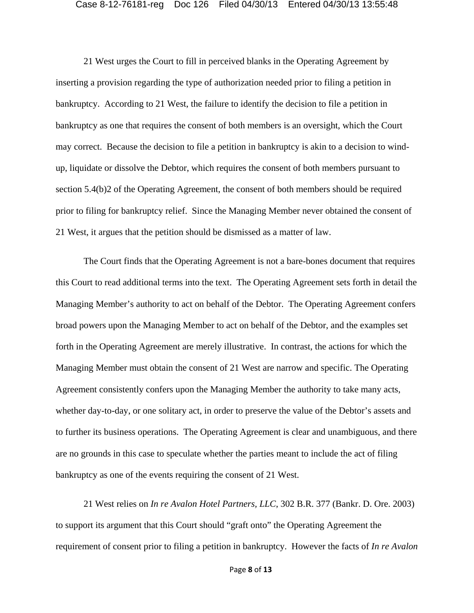21 West urges the Court to fill in perceived blanks in the Operating Agreement by inserting a provision regarding the type of authorization needed prior to filing a petition in bankruptcy. According to 21 West, the failure to identify the decision to file a petition in bankruptcy as one that requires the consent of both members is an oversight, which the Court may correct. Because the decision to file a petition in bankruptcy is akin to a decision to windup, liquidate or dissolve the Debtor, which requires the consent of both members pursuant to section 5.4(b)2 of the Operating Agreement, the consent of both members should be required prior to filing for bankruptcy relief. Since the Managing Member never obtained the consent of 21 West, it argues that the petition should be dismissed as a matter of law.

The Court finds that the Operating Agreement is not a bare-bones document that requires this Court to read additional terms into the text. The Operating Agreement sets forth in detail the Managing Member's authority to act on behalf of the Debtor. The Operating Agreement confers broad powers upon the Managing Member to act on behalf of the Debtor, and the examples set forth in the Operating Agreement are merely illustrative. In contrast, the actions for which the Managing Member must obtain the consent of 21 West are narrow and specific. The Operating Agreement consistently confers upon the Managing Member the authority to take many acts, whether day-to-day, or one solitary act, in order to preserve the value of the Debtor's assets and to further its business operations. The Operating Agreement is clear and unambiguous, and there are no grounds in this case to speculate whether the parties meant to include the act of filing bankruptcy as one of the events requiring the consent of 21 West.

21 West relies on *In re Avalon Hotel Partners, LLC*, 302 B.R. 377 (Bankr. D. Ore. 2003) to support its argument that this Court should "graft onto" the Operating Agreement the requirement of consent prior to filing a petition in bankruptcy. However the facts of *In re Avalon*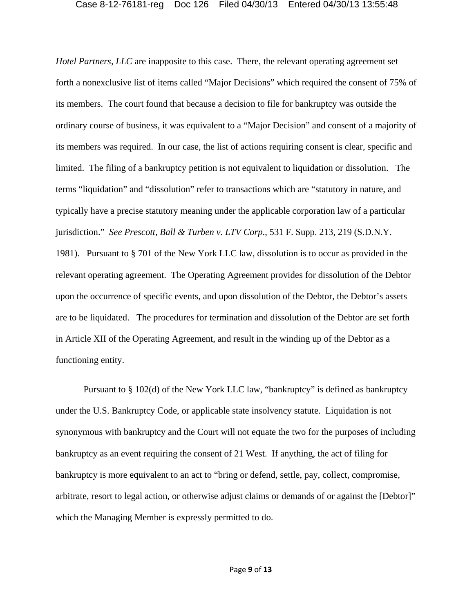*Hotel Partners, LLC* are inapposite to this case. There, the relevant operating agreement set forth a nonexclusive list of items called "Major Decisions" which required the consent of 75% of its members. The court found that because a decision to file for bankruptcy was outside the ordinary course of business, it was equivalent to a "Major Decision" and consent of a majority of its members was required. In our case, the list of actions requiring consent is clear, specific and limited. The filing of a bankruptcy petition is not equivalent to liquidation or dissolution. The terms "liquidation" and "dissolution" refer to transactions which are "statutory in nature, and typically have a precise statutory meaning under the applicable corporation law of a particular jurisdiction." *See Prescott, Ball & Turben v. LTV Corp*., 531 F. Supp. 213, 219 (S.D.N.Y. 1981). Pursuant to § 701 of the New York LLC law, dissolution is to occur as provided in the relevant operating agreement. The Operating Agreement provides for dissolution of the Debtor upon the occurrence of specific events, and upon dissolution of the Debtor, the Debtor's assets are to be liquidated. The procedures for termination and dissolution of the Debtor are set forth in Article XII of the Operating Agreement, and result in the winding up of the Debtor as a functioning entity.

Pursuant to § 102(d) of the New York LLC law, "bankruptcy" is defined as bankruptcy under the U.S. Bankruptcy Code, or applicable state insolvency statute. Liquidation is not synonymous with bankruptcy and the Court will not equate the two for the purposes of including bankruptcy as an event requiring the consent of 21 West. If anything, the act of filing for bankruptcy is more equivalent to an act to "bring or defend, settle, pay, collect, compromise, arbitrate, resort to legal action, or otherwise adjust claims or demands of or against the [Debtor]" which the Managing Member is expressly permitted to do.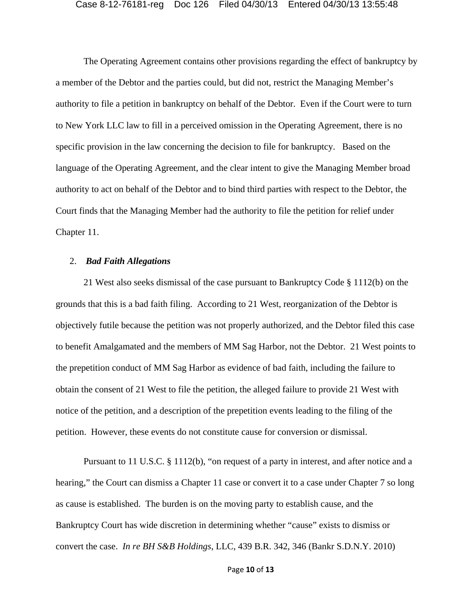The Operating Agreement contains other provisions regarding the effect of bankruptcy by a member of the Debtor and the parties could, but did not, restrict the Managing Member's authority to file a petition in bankruptcy on behalf of the Debtor. Even if the Court were to turn to New York LLC law to fill in a perceived omission in the Operating Agreement, there is no specific provision in the law concerning the decision to file for bankruptcy. Based on the language of the Operating Agreement, and the clear intent to give the Managing Member broad authority to act on behalf of the Debtor and to bind third parties with respect to the Debtor, the Court finds that the Managing Member had the authority to file the petition for relief under Chapter 11.

# 2. *Bad Faith Allegations*

 21 West also seeks dismissal of the case pursuant to Bankruptcy Code § 1112(b) on the grounds that this is a bad faith filing. According to 21 West, reorganization of the Debtor is objectively futile because the petition was not properly authorized, and the Debtor filed this case to benefit Amalgamated and the members of MM Sag Harbor, not the Debtor. 21 West points to the prepetition conduct of MM Sag Harbor as evidence of bad faith, including the failure to obtain the consent of 21 West to file the petition, the alleged failure to provide 21 West with notice of the petition, and a description of the prepetition events leading to the filing of the petition. However, these events do not constitute cause for conversion or dismissal.

Pursuant to 11 U.S.C. § 1112(b), "on request of a party in interest, and after notice and a hearing," the Court can dismiss a Chapter 11 case or convert it to a case under Chapter 7 so long as cause is established. The burden is on the moving party to establish cause, and the Bankruptcy Court has wide discretion in determining whether "cause" exists to dismiss or convert the case. *In re BH S&B Holdings*, LLC, 439 B.R. 342, 346 (Bankr S.D.N.Y. 2010)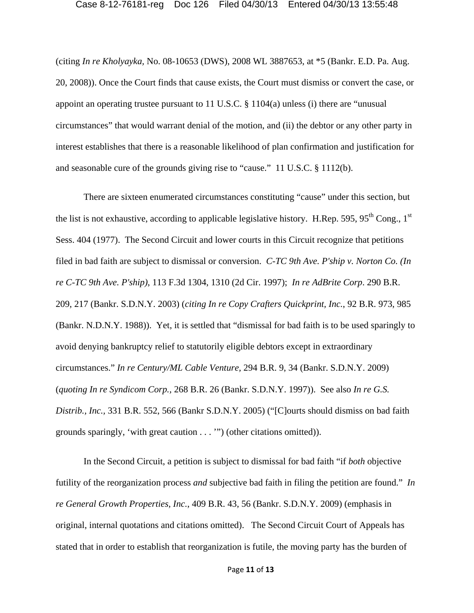(citing *In re Kholyayka,* No. 08-10653 (DWS), 2008 WL 3887653, at \*5 (Bankr. E.D. Pa. Aug. 20, 2008)). Once the Court finds that cause exists, the Court must dismiss or convert the case, or appoint an operating trustee pursuant to 11 U.S.C. § 1104(a) unless (i) there are "unusual circumstances" that would warrant denial of the motion, and (ii) the debtor or any other party in interest establishes that there is a reasonable likelihood of plan confirmation and justification for and seasonable cure of the grounds giving rise to "cause." 11 U.S.C. § 1112(b).

There are sixteen enumerated circumstances constituting "cause" under this section, but the list is not exhaustive, according to applicable legislative history. H.Rep. 595, 95<sup>th</sup> Cong., 1<sup>st</sup> Sess. 404 (1977). The Second Circuit and lower courts in this Circuit recognize that petitions filed in bad faith are subject to dismissal or conversion. *C-TC 9th Ave. P'ship v. Norton Co. (In re C-TC 9th Ave. P'ship)*, 113 F.3d 1304, 1310 (2d Cir. 1997); *In re AdBrite Corp*. 290 B.R. 209, 217 (Bankr. S.D.N.Y. 2003) (*citing In re Copy Crafters Quickprint, Inc.*, 92 B.R. 973, 985 (Bankr. N.D.N.Y. 1988)). Yet, it is settled that "dismissal for bad faith is to be used sparingly to avoid denying bankruptcy relief to statutorily eligible debtors except in extraordinary circumstances." *In re Century/ML Cable Venture,* 294 B.R. 9, 34 (Bankr. S.D.N.Y. 2009) (*quoting In re Syndicom Corp.,* 268 B.R. 26 (Bankr. S.D.N.Y. 1997)). See also *In re G.S. Distrib., Inc.,* 331 B.R. 552, 566 (Bankr S.D.N.Y. 2005) ("[C]ourts should dismiss on bad faith grounds sparingly, 'with great caution . . . '") (other citations omitted)).

In the Second Circuit, a petition is subject to dismissal for bad faith "if *both* objective futility of the reorganization process *and* subjective bad faith in filing the petition are found." *In re General Growth Properties, Inc.*, 409 B.R. 43, 56 (Bankr. S.D.N.Y. 2009) (emphasis in original, internal quotations and citations omitted). The Second Circuit Court of Appeals has stated that in order to establish that reorganization is futile, the moving party has the burden of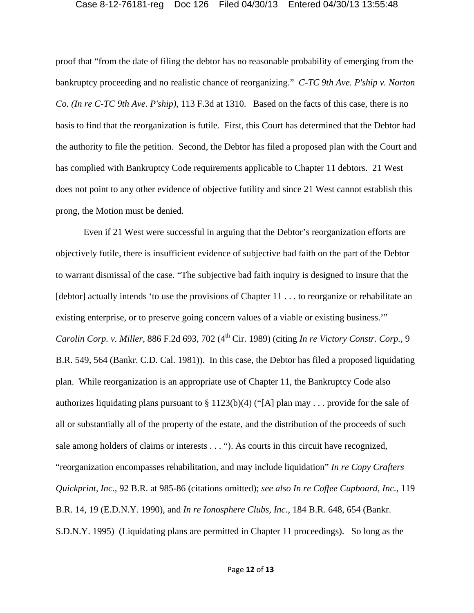proof that "from the date of filing the debtor has no reasonable probability of emerging from the bankruptcy proceeding and no realistic chance of reorganizing." *C-TC 9th Ave. P'ship v. Norton Co. (In re C-TC 9th Ave. P'ship)*, 113 F.3d at 1310. Based on the facts of this case, there is no basis to find that the reorganization is futile. First, this Court has determined that the Debtor had the authority to file the petition. Second, the Debtor has filed a proposed plan with the Court and has complied with Bankruptcy Code requirements applicable to Chapter 11 debtors. 21 West does not point to any other evidence of objective futility and since 21 West cannot establish this prong, the Motion must be denied.

Even if 21 West were successful in arguing that the Debtor's reorganization efforts are objectively futile, there is insufficient evidence of subjective bad faith on the part of the Debtor to warrant dismissal of the case. "The subjective bad faith inquiry is designed to insure that the [debtor] actually intends 'to use the provisions of Chapter 11 . . . to reorganize or rehabilitate an existing enterprise, or to preserve going concern values of a viable or existing business.'" *Carolin Corp. v. Miller, 886 F.2d 693, 702 (4<sup>th</sup> Cir. 1989) (citing <i>In re Victory Constr. Corp., 9* B.R. 549, 564 (Bankr. C.D. Cal. 1981)). In this case, the Debtor has filed a proposed liquidating plan. While reorganization is an appropriate use of Chapter 11, the Bankruptcy Code also authorizes liquidating plans pursuant to § 1123(b)(4) ("[A] plan may . . . provide for the sale of all or substantially all of the property of the estate, and the distribution of the proceeds of such sale among holders of claims or interests . . . "). As courts in this circuit have recognized, "reorganization encompasses rehabilitation, and may include liquidation" *In re Copy Crafters Quickprint, Inc*., 92 B.R. at 985-86 (citations omitted); *see also In re Coffee Cupboard, Inc.,* 119 B.R. 14, 19 (E.D.N.Y. 1990), and *In re Ionosphere Clubs, Inc.*, 184 B.R. 648, 654 (Bankr. S.D.N.Y. 1995) (Liquidating plans are permitted in Chapter 11 proceedings). So long as the